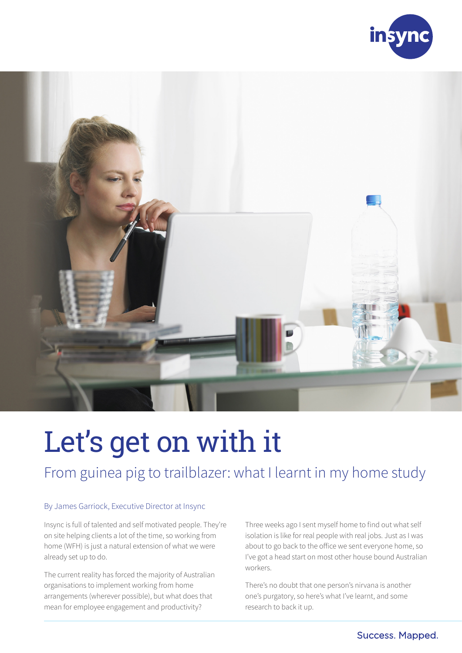



# Let's get on with it

# From guinea pig to trailblazer: what I learnt in my home study

#### By James Garriock, Executive Director at Insync

Insync is full of talented and self motivated people. They're on site helping clients a lot of the time, so working from home (WFH) is just a natural extension of what we were already set up to do.

The current reality has forced the majority of Australian organisations to implement working from home arrangements (wherever possible), but what does that mean for employee engagement and productivity?

Three weeks ago I sent myself home to find out what self isolation is like for real people with real jobs. Just as I was about to go back to the office we sent everyone home, so I've got a head start on most other house bound Australian workers.

There's no doubt that one person's nirvana is another one's purgatory, so here's what I've learnt, and some research to back it up.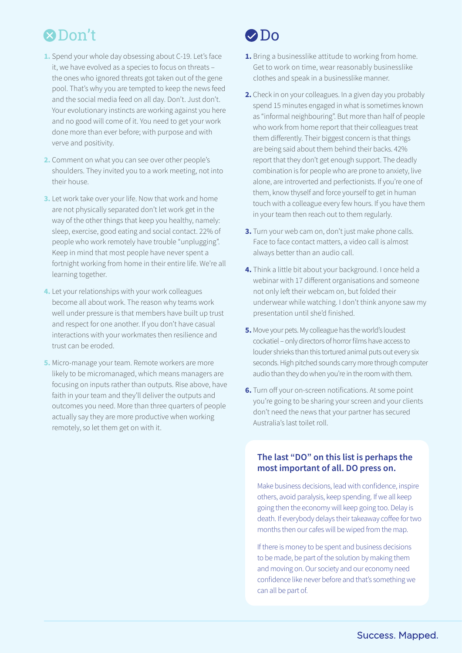# **2** Don't 2 Do

- **1.** Spend your whole day obsessing about C-19. Let's face it, we have evolved as a species to focus on threats – the ones who ignored threats got taken out of the gene pool. That's why you are tempted to keep the news feed and the social media feed on all day. Don't. Just don't. Your evolutionary instincts are working against you here and no good will come of it. You need to get your work done more than ever before; with purpose and with verve and positivity.
- **2.** Comment on what you can see over other people's shoulders. They invited you to a work meeting, not into their house.
- **3.** Let work take over your life. Now that work and home are not physically separated don't let work get in the way of the other things that keep you healthy, namely: sleep, exercise, good eating and social contact. 22% of people who work remotely have trouble "unplugging". Keep in mind that most people have never spent a fortnight working from home in their entire life. We're all learning together.
- **4.** Let your relationships with your work colleagues become all about work. The reason why teams work well under pressure is that members have built up trust and respect for one another. If you don't have casual interactions with your workmates then resilience and trust can be eroded.
- **5.** Micro-manage your team. Remote workers are more likely to be micromanaged, which means managers are focusing on inputs rather than outputs. Rise above, have faith in your team and they'll deliver the outputs and outcomes you need. More than three quarters of people actually say they are more productive when working remotely, so let them get on with it.

- **1.** Bring a businesslike attitude to working from home. Get to work on time, wear reasonably businesslike clothes and speak in a businesslike manner.
- **2.** Check in on your colleagues. In a given day you probably spend 15 minutes engaged in what is sometimes known as "informal neighbouring". But more than half of people who work from home report that their colleagues treat them differently. Their biggest concern is that things are being said about them behind their backs. 42% report that they don't get enough support. The deadly combination is for people who are prone to anxiety, live alone, are introverted and perfectionists. If you're one of them, know thyself and force yourself to get in human touch with a colleague every few hours. If you have them in your team then reach out to them regularly.
- **3.** Turn your web cam on, don't just make phone calls. Face to face contact matters, a video call is almost always better than an audio call.
- **4.** Think a little bit about your background. I once held a webinar with 17 different organisations and someone not only left their webcam on, but folded their underwear while watching. I don't think anyone saw my presentation until she'd finished.
- **5.** Move your pets. My colleague has the world's loudest cockatiel – only directors of horror films have access to louder shrieks than this tortured animal puts out every six seconds. High pitched sounds carry more through computer audio than they do when you're in the room with them.
- **6.** Turn off your on-screen notifications. At some point you're going to be sharing your screen and your clients don't need the news that your partner has secured Australia's last toilet roll.

#### **The last "DO" on this list is perhaps the most important of all. DO press on.**

Make business decisions, lead with confidence, inspire others, avoid paralysis, keep spending. If we all keep going then the economy will keep going too. Delay is death. If everybody delays their takeaway coffee for two months then our cafes will be wiped from the map.

If there is money to be spent and business decisions to be made, be part of the solution by making them and moving on. Our society and our economy need confidence like never before and that's something we can all be part of.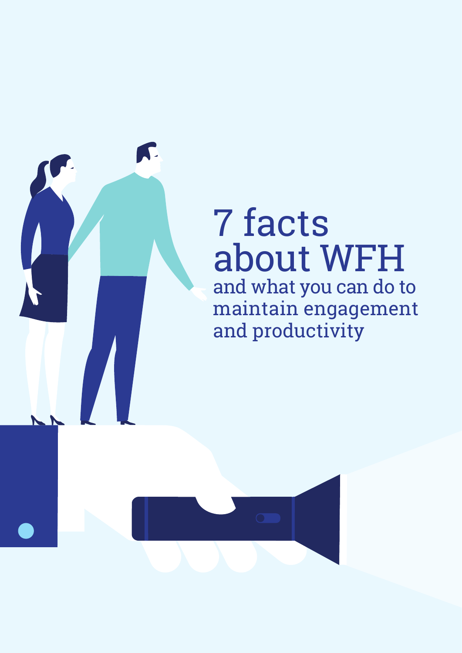

and productivity

K.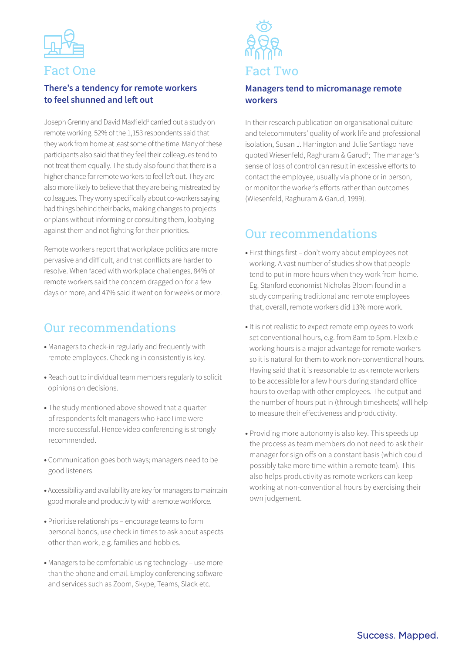

### Fact One

#### **There's a tendency for remote workers to feel shunned and left out**

Joseph Grenny and David Maxfield<sup>1</sup> carried out a study on remote working. 52% of the 1,153 respondents said that they work from home at least some of the time. Many of these participants also said that they feel their colleagues tend to not treat them equally. The study also found that there is a higher chance for remote workers to feel left out. They are also more likely to believe that they are being mistreated by colleagues. They worry specifically about co-workers saying bad things behind their backs, making changes to projects or plans without informing or consulting them, lobbying against them and not fighting for their priorities.

Remote workers report that workplace politics are more pervasive and difficult, and that conflicts are harder to resolve. When faced with workplace challenges, 84% of remote workers said the concern dragged on for a few days or more, and 47% said it went on for weeks or more.

## Our recommendations

- **•** Managers to check-in regularly and frequently with remote employees. Checking in consistently is key.
- **•** Reach out to individual team members regularly to solicit opinions on decisions.
- **•** The study mentioned above showed that a quarter of respondents felt managers who FaceTime were more successful. Hence video conferencing is strongly recommended.
- **•** Communication goes both ways; managers need to be good listeners.
- **•** Accessibility and availability are key for managers to maintain good morale and productivity with a remote workforce.
- **•** Prioritise relationships encourage teams to form personal bonds, use check in times to ask about aspects other than work, e.g. families and hobbies.
- **•** Managers to be comfortable using technology use more than the phone and email. Employ conferencing software and services such as Zoom, Skype, Teams, Slack etc.



#### **Managers tend to micromanage remote workers**

In their research publication on organisational culture and telecommuters' quality of work life and professional isolation, Susan J. Harrington and Julie Santiago have quoted Wiesenfeld, Raghuram & Garud<sup>2</sup>; The manager's sense of loss of control can result in excessive efforts to contact the employee, usually via phone or in person, or monitor the worker's efforts rather than outcomes (Wiesenfeld, Raghuram & Garud, 1999).

# Our recommendations

- **•** First things first don't worry about employees not working. A vast number of studies show that people tend to put in more hours when they work from home. Eg. Stanford economist Nicholas Bloom found in a study comparing traditional and remote employees that, overall, remote workers did 13% more work.
- **•** It is not realistic to expect remote employees to work set conventional hours, e.g. from 8am to 5pm. Flexible working hours is a major advantage for remote workers so it is natural for them to work non-conventional hours. Having said that it is reasonable to ask remote workers to be accessible for a few hours during standard office hours to overlap with other employees. The output and the number of hours put in (through timesheets) will help to measure their effectiveness and productivity.
- **•** Providing more autonomy is also key. This speeds up the process as team members do not need to ask their manager for sign offs on a constant basis (which could possibly take more time within a remote team). This also helps productivity as remote workers can keep working at non-conventional hours by exercising their own judgement.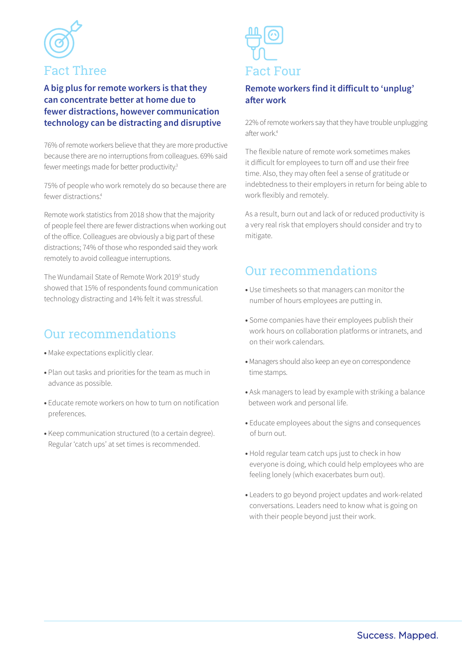

#### **A big plus for remote workers is that they can concentrate better at home due to fewer distractions, however communication technology can be distracting and disruptive**

76% of remote workers believe that they are more productive because there are no interruptions from colleagues. 69% said fewer meetings made for better productivity.<sup>3</sup>

75% of people who work remotely do so because there are fewer distractions<sup>4</sup>

Remote work statistics from 2018 show that the majority of people feel there are fewer distractions when working out of the office. Colleagues are obviously a big part of these distractions; 74% of those who responded said they work remotely to avoid colleague interruptions.

The Wundamail State of Remote Work 2019<sup>5</sup> study showed that 15% of respondents found communication technology distracting and 14% felt it was stressful.

# Our recommendations

- **•** Make expectations explicitly clear.
- **•** Plan out tasks and priorities for the team as much in advance as possible.
- **•** Educate remote workers on how to turn on notification preferences.
- **•** Keep communication structured (to a certain degree). Regular 'catch ups' at set times is recommended.



#### **Remote workers find it difficult to 'unplug' after work**

22% of remote workers say that they have trouble unplugging after work<sup>4</sup>

The flexible nature of remote work sometimes makes it difficult for employees to turn off and use their free time. Also, they may often feel a sense of gratitude or indebtedness to their employers in return for being able to work flexibly and remotely.

As a result, burn out and lack of or reduced productivity is a very real risk that employers should consider and try to mitigate.

# Our recommendations

- **•** Use timesheets so that managers can monitor the number of hours employees are putting in.
- **•** Some companies have their employees publish their work hours on collaboration platforms or intranets, and on their work calendars.
- **•** Managers should also keep an eye on correspondence time stamps.
- **•** Ask managers to lead by example with striking a balance between work and personal life.
- **•** Educate employees about the signs and consequences of burn out.
- **•** Hold regular team catch ups just to check in how everyone is doing, which could help employees who are feeling lonely (which exacerbates burn out).
- **•** Leaders to go beyond project updates and work-related conversations. Leaders need to know what is going on with their people beyond just their work.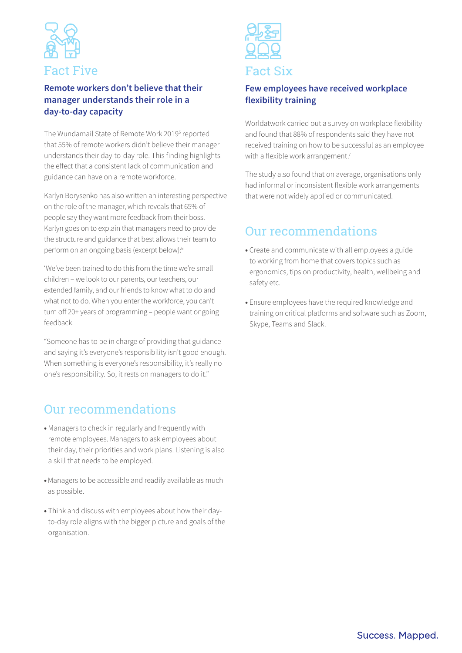

#### **Remote workers don't believe that their manager understands their role in a day-to-day capacity**

The Wundamail State of Remote Work 2019<sup>5</sup> reported that 55% of remote workers didn't believe their manager understands their day-to-day role. This finding highlights the effect that a consistent lack of communication and guidance can have on a remote workforce.

Karlyn Borysenko has also written an interesting perspective on the role of the manager, which reveals that 65% of people say they want more feedback from their boss. Karlyn goes on to explain that managers need to provide the structure and guidance that best allows their team to perform on an ongoing basis (excerpt below):6

'We've been trained to do this from the time we're small children – we look to our parents, our teachers, our extended family, and our friends to know what to do and what not to do. When you enter the workforce, you can't turn off 20+ years of programming – people want ongoing feedback.

"Someone has to be in charge of providing that guidance and saying it's everyone's responsibility isn't good enough. When something is everyone's responsibility, it's really no one's responsibility. So, it rests on managers to do it."

# Our recommendations

- **•** Managers to check in regularly and frequently with remote employees. Managers to ask employees about their day, their priorities and work plans. Listening is also a skill that needs to be employed.
- **•** Managers to be accessible and readily available as much as possible.
- **•** Think and discuss with employees about how their dayto-day role aligns with the bigger picture and goals of the organisation.



#### **Few employees have received workplace flexibility training**

Worldatwork carried out a survey on workplace flexibility and found that 88% of respondents said they have not received training on how to be successful as an employee with a flexible work arrangement.<sup>7</sup>

The study also found that on average, organisations only had informal or inconsistent flexible work arrangements that were not widely applied or communicated.

# Our recommendations

- **•** Create and communicate with all employees a guide to working from home that covers topics such as ergonomics, tips on productivity, health, wellbeing and safety etc.
- **•** Ensure employees have the required knowledge and training on critical platforms and software such as Zoom, Skype, Teams and Slack.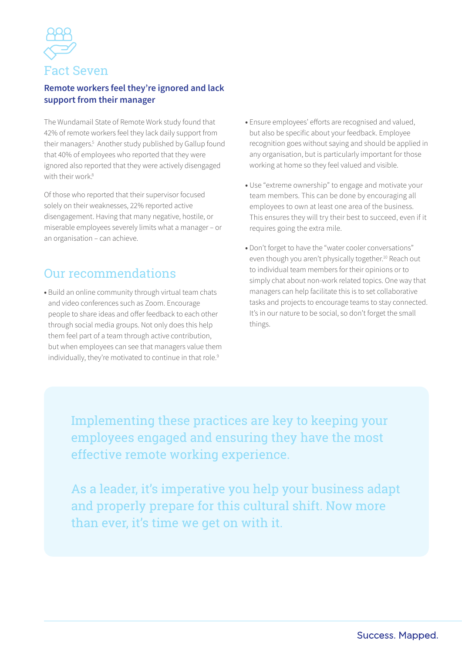

#### **Remote workers feel they're ignored and lack support from their manager**

The Wundamail State of Remote Work study found that 42% of remote workers feel they lack daily support from their managers.<sup>5</sup> Another study published by Gallup found that 40% of employees who reported that they were ignored also reported that they were actively disengaged with their work $8$ 

Of those who reported that their supervisor focused solely on their weaknesses, 22% reported active disengagement. Having that many negative, hostile, or miserable employees severely limits what a manager – or an organisation – can achieve.

# Our recommendations

**•** Build an online community through virtual team chats and video conferences such as Zoom. Encourage people to share ideas and offer feedback to each other through social media groups. Not only does this help them feel part of a team through active contribution, but when employees can see that managers value them individually, they're motivated to continue in that role.<sup>9</sup>

- **•** Ensure employees' efforts are recognised and valued, but also be specific about your feedback. Employee recognition goes without saying and should be applied in any organisation, but is particularly important for those working at home so they feel valued and visible.
- **•** Use "extreme ownership" to engage and motivate your team members. This can be done by encouraging all employees to own at least one area of the business. This ensures they will try their best to succeed, even if it requires going the extra mile.
- **•** Don't forget to have the "water cooler conversations" even though you aren't physically together.<sup>10</sup> Reach out to individual team members for their opinions or to simply chat about non-work related topics. One way that managers can help facilitate this is to set collaborative tasks and projects to encourage teams to stay connected. It's in our nature to be social, so don't forget the small things.

Implementing these practices are key to keeping your employees engaged and ensuring they have the most effective remote working experience.

As a leader, it's imperative you help your business adapt and properly prepare for this cultural shift. Now more than ever, it's time we get on with it.